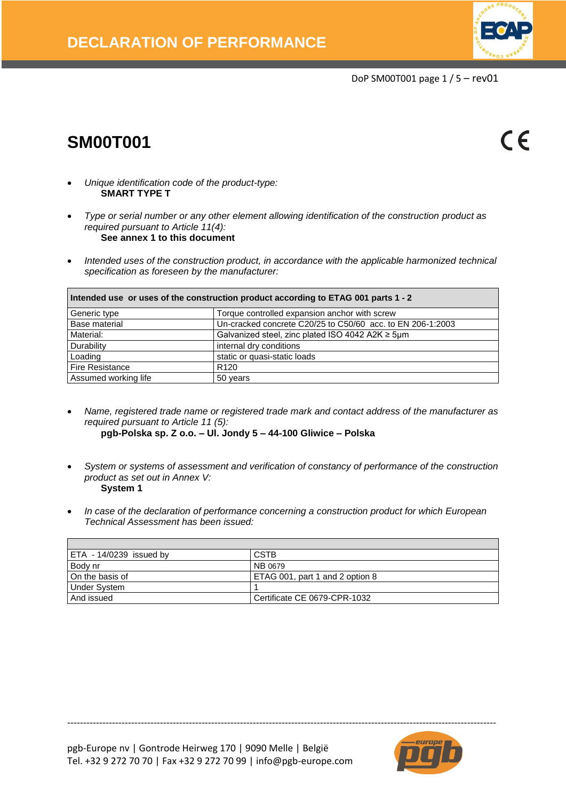

DoP SM00T001 page 1 / 5 – rev01

# **SM00T001**

 $\epsilon$ 

- *Unique identification code of the product-type:* **SMART TYPE T**
- *Type or serial number or any other element allowing identification of the construction product as required pursuant to Article 11(4):* **See annex 1 to this document**
- *Intended uses of the construction product, in accordance with the applicable harmonized technical specification as foreseen by the manufacturer:*

| Intended use or uses of the construction product according to ETAG 001 parts 1 - 2 |                                                            |  |  |  |
|------------------------------------------------------------------------------------|------------------------------------------------------------|--|--|--|
| Torque controlled expansion anchor with screw<br>Generic type                      |                                                            |  |  |  |
| Base material                                                                      | Un-cracked concrete C20/25 to C50/60 acc. to EN 206-1:2003 |  |  |  |
| Material:                                                                          | Galvanized steel, zinc plated ISO 4042 A2K $\geq$ 5µm      |  |  |  |
| Durability                                                                         | internal dry conditions                                    |  |  |  |
| Loading                                                                            | static or quasi-static loads                               |  |  |  |
| Fire Resistance                                                                    | R <sub>120</sub>                                           |  |  |  |
| Assumed working life                                                               | 50 years                                                   |  |  |  |

- *Name, registered trade name or registered trade mark and contact address of the manufacturer as required pursuant to Article 11 (5):* **pgb-Polska sp. Z o.o. – Ul. Jondy 5 – 44-100 Gliwice – Polska**
- 
- *System or systems of assessment and verification of constancy of performance of the construction product as set out in Annex V:* **System 1**
- *In case of the declaration of performance concerning a construction product for which European Technical Assessment has been issued:*

| ETA - 14/0239 issued by | <b>CSTB</b>                     |
|-------------------------|---------------------------------|
| Body nr                 | NB 0679                         |
| On the basis of         | ETAG 001, part 1 and 2 option 8 |
| Under System            |                                 |
| And issued              | Certificate CE 0679-CPR-1032    |

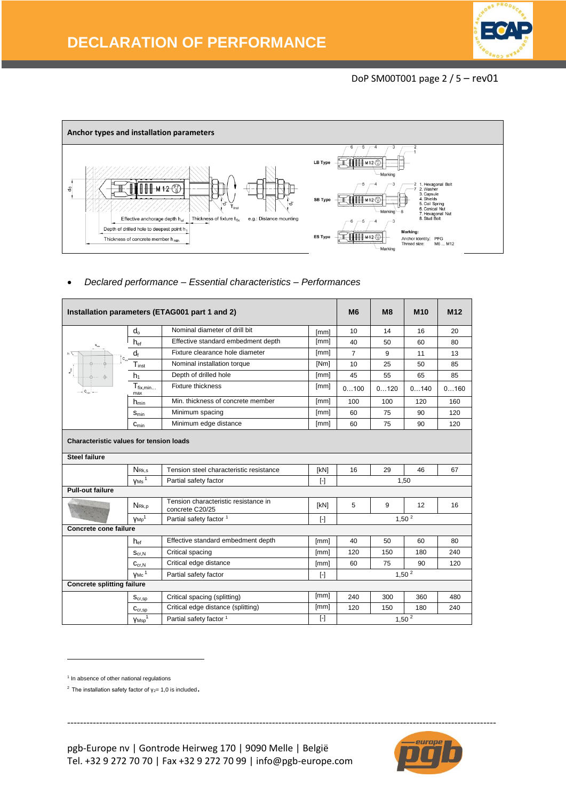## DoP SM00T001 page 2 / 5 – rev01



*Declared performance – Essential characteristics – Performances*

| Installation parameters (ETAG001 part 1 and 2) |                                                |                                                         | <b>M6</b> | M8                | M <sub>10</sub> | M <sub>12</sub> |      |  |
|------------------------------------------------|------------------------------------------------|---------------------------------------------------------|-----------|-------------------|-----------------|-----------------|------|--|
|                                                | $d_{0}$                                        | Nominal diameter of drill bit                           | [mm]      | 10                | 14              | 16              | 20   |  |
|                                                | $h_{ef}$                                       | Effective standard embedment depth                      | [mm]      | 40                | 50              | 60              | 80   |  |
|                                                | $d_{f}$                                        | Fixture clearance hole diameter                         | [mm]      | $\overline{7}$    | 9               | 11              | 13   |  |
|                                                | $T_{inst}$                                     | Nominal installation torque                             | [Nm]      | 10                | 25              | 50              | 85   |  |
| $\mathfrak{s}^{\frac{5}{6}}$                   | h <sub>1</sub>                                 | Depth of drilled hole                                   | [mm]      | 45                | 55              | 65              | 85   |  |
|                                                | $T_{fix,min}$<br>max                           | <b>Fixture thickness</b>                                | [mm]      | 0100              | 0120            | 0140            | 0160 |  |
|                                                | $h_{\text{min}}$                               | Min. thickness of concrete member                       | [mm]      | 100               | 100             | 120             | 160  |  |
|                                                | $S_{min}$                                      | Minimum spacing                                         | [mm]      | 60                | 75              | 90              | 120  |  |
|                                                | $C_{\text{min}}$                               | Minimum edge distance                                   | [mm]      | 60                | 75              | 90              | 120  |  |
|                                                | <b>Characteristic values for tension loads</b> |                                                         |           |                   |                 |                 |      |  |
| <b>Steel failure</b>                           |                                                |                                                         |           |                   |                 |                 |      |  |
|                                                | NRk.s                                          | Tension steel characteristic resistance                 | [kN]      | 16                | 29              | 46              | 67   |  |
|                                                | $Y$ <sub>Ms</sub> $1$                          | Partial safety factor                                   | $[\cdot]$ |                   | 1,50            |                 |      |  |
| <b>Pull-out failure</b>                        |                                                |                                                         |           |                   |                 |                 |      |  |
|                                                | NRK.D                                          | Tension characteristic resistance in<br>concrete C20/25 | [kN]      | 5                 | 9               | 12              | 16   |  |
|                                                | VMD <sup>1</sup>                               | Partial safety factor 1                                 | $[\cdot]$ | 1,50 <sup>2</sup> |                 |                 |      |  |
| Concrete cone failure                          |                                                |                                                         |           |                   |                 |                 |      |  |
|                                                | h <sub>ef</sub>                                | Effective standard embedment depth                      | [mm]      | 40                | 50              | 60              | 80   |  |
|                                                | $S_{cr,N}$                                     | Critical spacing                                        | [mm]      | 120               | 150             | 180             | 240  |  |
|                                                | $C_{cr,N}$                                     | Critical edge distance                                  | [mm]      | 60                | 75              | 90              | 120  |  |
|                                                | $V$ Mc $1$                                     | Partial safety factor                                   | $[\cdot]$ |                   |                 | 1,50 $^{2}$     |      |  |
| <b>Concrete splitting failure</b>              |                                                |                                                         |           |                   |                 |                 |      |  |
|                                                | $S_{cr,sp}$                                    | Critical spacing (splitting)                            | [mm]      | 240               | 300             | 360             | 480  |  |
|                                                | $C_{cr,sp}$                                    | Critical edge distance (splitting)                      | [mm]      | 120               | 150             | 180             | 240  |  |
|                                                | Y <sub>Msp</sub>                               | Partial safety factor <sup>1</sup>                      | $[\cdot]$ |                   |                 | $1,50^{2}$      |      |  |

--------------------------------------------------------------------------------------------------------------------------------------

**.** 



<sup>&</sup>lt;sup>1</sup> In absence of other national regulations

<sup>&</sup>lt;sup>2</sup> The installation safety factor of  $y_{2}= 1,0$  is included.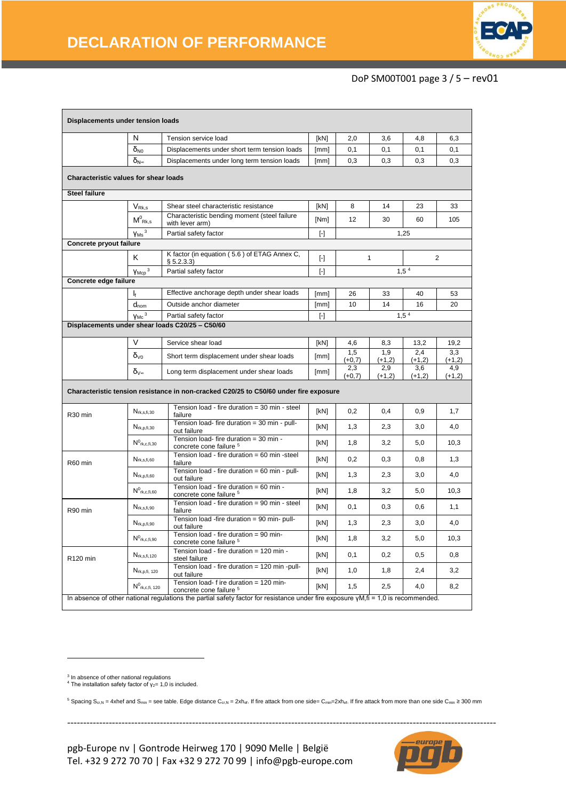

## DoP SM00T001 page 3 / 5 – rev01

| Displacements under tension loads                                                     |                                                          |                                                                                                                                             |                         |                 |                 |                 |                 |
|---------------------------------------------------------------------------------------|----------------------------------------------------------|---------------------------------------------------------------------------------------------------------------------------------------------|-------------------------|-----------------|-----------------|-----------------|-----------------|
|                                                                                       | N<br>Tension service load                                |                                                                                                                                             | [kN]                    | 2,0             | 3,6             | 4,8             | 6,3             |
|                                                                                       | $\delta_{N0}$                                            | Displacements under short term tension loads                                                                                                | [mm]                    | 0,1             | 0,1             | 0,1             | 0,1             |
|                                                                                       | $\delta_{N^{\infty}}$                                    | Displacements under long term tension loads<br>[mm]                                                                                         |                         | 0,3             | 0,3             | 0,3             | 0,3             |
| Characteristic values for shear loads                                                 |                                                          |                                                                                                                                             |                         |                 |                 |                 |                 |
| <b>Steel failure</b>                                                                  |                                                          |                                                                                                                                             |                         |                 |                 |                 |                 |
|                                                                                       | $V_{Rk,s}$                                               | Shear steel characteristic resistance                                                                                                       | [kN]                    | 8               | 14              | 23              | 33              |
|                                                                                       | $M^0$ <sub>Rk,s</sub>                                    | Characteristic bending moment (steel failure<br>with lever arm)                                                                             | [Nm]                    | 12              | 30              | 60              | 105             |
|                                                                                       | $Y$ <sub>Ms</sub> $3$                                    | Partial safety factor                                                                                                                       | $[\cdot]$               |                 |                 | 1,25            |                 |
| Concrete pryout failure                                                               |                                                          |                                                                                                                                             |                         |                 |                 |                 |                 |
|                                                                                       | Κ                                                        | K factor (in equation (5.6) of ETAG Annex C,<br>§ 5.2.3.3)                                                                                  | $[\cdot]$               |                 | $\mathbf{1}$    |                 | $\overline{2}$  |
|                                                                                       | $Y$ Mcp <sup>3</sup>                                     | Partial safety factor                                                                                                                       | $[ - ]$                 |                 |                 | $1,5^4$         |                 |
| Concrete edge failure                                                                 |                                                          |                                                                                                                                             |                         |                 |                 |                 |                 |
|                                                                                       | Ŀ                                                        | Effective anchorage depth under shear loads                                                                                                 | [mm]                    | 26              | 33              | 40              | 53              |
|                                                                                       | $d_{nom}$                                                | Outside anchor diameter                                                                                                                     | [mm]                    | 10              | 14              | 16              | 20              |
|                                                                                       | $V$ Mc $3$                                               | Partial safety factor                                                                                                                       | $\lbrack \cdot \rbrack$ |                 |                 | $1,5^{4}$       |                 |
|                                                                                       |                                                          | Displacements under shear loads C20/25 - C50/60                                                                                             |                         |                 |                 |                 |                 |
|                                                                                       | V                                                        | Service shear load                                                                                                                          | [kN]                    | 4,6             | 8,3             | 13,2            | 19.2            |
|                                                                                       | $\delta$ <sub>V0</sub>                                   | Short term displacement under shear loads                                                                                                   | [mm]                    | 1,5<br>$(+0,7)$ | 1,9<br>$(+1,2)$ | 2,4<br>$(+1,2)$ | 3,3<br>$(+1,2)$ |
|                                                                                       | δ∨∞                                                      | Long term displacement under shear loads                                                                                                    | [mm]                    | 2,3<br>$(+0,7)$ | 2,9<br>$(+1,2)$ | 3,6<br>$(+1,2)$ | 4,9<br>$(+1,2)$ |
| Characteristic tension resistance in non-cracked C20/25 to C50/60 under fire exposure |                                                          |                                                                                                                                             |                         |                 |                 |                 |                 |
| R <sub>30</sub> min                                                                   | $N_{rk,s,fi,30}$                                         | Tension load - fire duration = 30 min - steel<br>failure                                                                                    | [kN]                    | 0,2             | 0,4             | 0,9             | 1,7             |
| $N_{rk,p,fi,30}$                                                                      |                                                          | Tension load- fire duration = 30 min - pull-<br>out failure                                                                                 | [kN]                    | 1,3             | 2,3             | 3,0             | 4,0             |
|                                                                                       | $N^0$ rk.c.fi.30                                         | Tension load- fire duration = 30 min -<br>concrete cone failure 5                                                                           | [kN]                    | 1,8             | 3,2             | 5,0             | 10,3            |
| R60 min                                                                               | $N_{rk,s,fi,60}$                                         | Tension load - fire duration = 60 min -steel<br>failure                                                                                     | [kN]                    | 0,2             | 0,3             | 0,8             | 1,3             |
|                                                                                       | $N_{rk,p,fi,60}$                                         | Tension load - fire duration = 60 min - pull-<br>out failure                                                                                | [kN]                    | 1,3             | 2,3             | 3,0             | 4,0             |
|                                                                                       | $N^0$ <sub>rk,c,fi,60</sub>                              | Tension load - fire duration = 60 min -<br>concrete cone failure 5                                                                          | [kN]                    | 1,8             | 3,2             | 5,0             | 10,3            |
| R90 min                                                                               | Nrk, s, fi, 90                                           | Tension load - fire duration = 90 min - steel<br>failure                                                                                    | [kN]                    | 0,1             | 0,3             | 0,6             | 1,1             |
| $N_{rk,p,fi,90}$                                                                      |                                                          | Tension load -fire duration = 90 min- pull-<br>out failure                                                                                  | [kN]                    | 1,3             | 2,3             | 3,0             | 4,0             |
|                                                                                       | $\mathsf{N}^0{}_{\mathsf{rk},\mathsf{c},\mathsf{fi},90}$ | Tension load - fire duration = 90 min-<br>concrete cone failure <sup>5</sup>                                                                | [kN]                    | 1,8             | 3,2             | 5,0             | 10,3            |
| R120 min                                                                              | $N_{rk,s,fi,120}$                                        | Tension load - fire duration = 120 min -<br>steel failure                                                                                   | [kN]                    | 0,1             | 0,2             | 0,5             | 0,8             |
|                                                                                       | N <sub>rk, p,fi, 120</sub>                               | Tension load - fire duration = 120 min -pull-<br>out failure                                                                                | [kN]                    | 1,0             | 1,8             | 2,4             | 3,2             |
|                                                                                       | $N^0$ rk,c,fi, 120                                       | Tension load- $f$ ire duration = $\overline{120}$ min-<br>concrete cone failure 5                                                           | [kN]                    | 1,5             | 2,5             | 4,0             | 8,2             |
|                                                                                       |                                                          | In absence of other national regulations the partial safety factor for resistance under fire exposure $\gamma M$ , fi = 1,0 is recommended. |                         |                 |                 |                 |                 |

<sup>3</sup> In absence of other national regulations<br><sup>4</sup> The installation safety factor of γ<sub>2</sub>= 1,0 is included.

**.** 

5 Spacing S<sub>cr</sub><sub>N</sub> = 4xhef and S<sub>min</sub> = see table. Edge distance C<sub>cr</sub><sub>N</sub> = 2xh<sub>ef</sub>. If fire attack from one side= C<sub>min</sub>=2xh<sub>ef</sub>. If fire attack from more than one side C<sub>min</sub> ≥ 300 mm



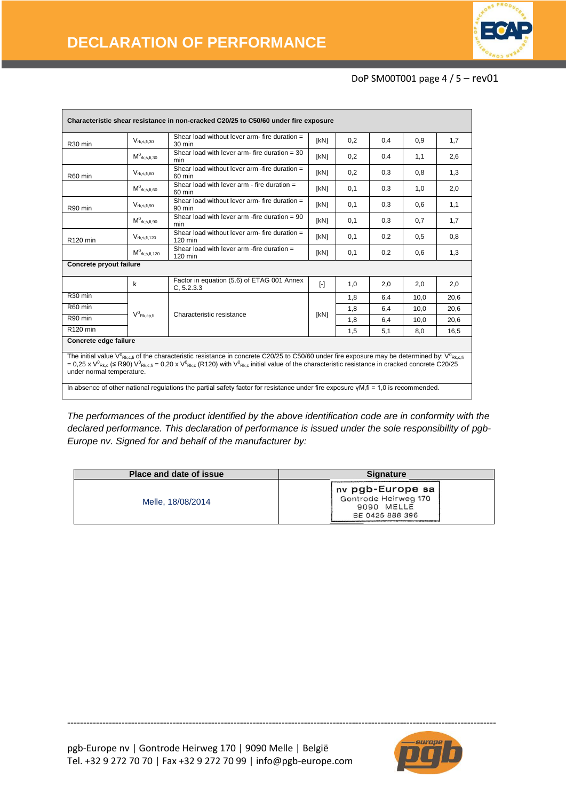

### DoP SM00T001 page 4 / 5 – rev01

| Characteristic shear resistance in non-cracked C20/25 to C50/60 under fire exposure |                              |                                                                                                                                                                                                                                                                                                                                                              |           |     |     |      |      |
|-------------------------------------------------------------------------------------|------------------------------|--------------------------------------------------------------------------------------------------------------------------------------------------------------------------------------------------------------------------------------------------------------------------------------------------------------------------------------------------------------|-----------|-----|-----|------|------|
| R <sub>30</sub> min                                                                 | $V_{rk,s,fi,30}$             | Shear load without lever arm- fire duration =<br>$30 \text{ min}$                                                                                                                                                                                                                                                                                            | [kN]      | 0,2 | 0,4 | 0,9  | 1,7  |
|                                                                                     | $\mathsf{M}^0$ rk, s, fi, 30 | Shear load with lever arm- fire duration $=$ 30<br>min                                                                                                                                                                                                                                                                                                       | [kN]      | 0,2 | 0,4 | 1,1  | 2,6  |
| R60 min                                                                             | $V_{rk,s,\text{fi},60}$      | Shear load without lever arm -fire duration =<br>60 min                                                                                                                                                                                                                                                                                                      | [kN]      | 0,2 | 0.3 | 0.8  | 1,3  |
|                                                                                     | $M^0$ rk, s, fi, 60          | Shear load with lever $arm - fire$ duration $=$<br>60 min                                                                                                                                                                                                                                                                                                    | [kN]      | 0,1 | 0,3 | 1,0  | 2,0  |
| R90 min                                                                             | $V_{rk,s,fi,90}$             | Shear load without lever arm- fire duration =<br>$90 \text{ min}$                                                                                                                                                                                                                                                                                            | [kN]      | 0.1 | 0.3 | 0.6  | 1,1  |
|                                                                                     | $M^0$ rk.s.fi.90             | Shear load with lever arm -fire duration = $90$<br>min                                                                                                                                                                                                                                                                                                       | [kN]      | 0.1 | 0,3 | 0.7  | 1,7  |
| R120 min                                                                            | $V_{rk,s,\text{fi},120}$     | Shear load without lever arm- fire duration =<br>120 min                                                                                                                                                                                                                                                                                                     | [kN]      | 0.1 | 0.2 | 0.5  | 0,8  |
|                                                                                     | $M^0$ rk, s, fi, 120         | Shear load with lever arm -fire duration $=$<br>120 min                                                                                                                                                                                                                                                                                                      | [kN]      | 0.1 | 0,2 | 0.6  | 1,3  |
| Concrete pryout failure                                                             |                              |                                                                                                                                                                                                                                                                                                                                                              |           |     |     |      |      |
|                                                                                     | k                            | Factor in equation (5.6) of ETAG 001 Annex<br>C, 5.2.3.3                                                                                                                                                                                                                                                                                                     | $[\cdot]$ | 1,0 | 2,0 | 2,0  | 2,0  |
| R <sub>30</sub> min                                                                 |                              |                                                                                                                                                                                                                                                                                                                                                              |           | 1.8 | 6.4 | 10.0 | 20.6 |
| R60 min                                                                             |                              | Characteristic resistance                                                                                                                                                                                                                                                                                                                                    | [kN]      | 1,8 | 6,4 | 10.0 | 20.6 |
| R90 min                                                                             | $V^0$ Rk,cp,fi               |                                                                                                                                                                                                                                                                                                                                                              |           | 1,8 | 6,4 | 10.0 | 20,6 |
| R120 min                                                                            |                              |                                                                                                                                                                                                                                                                                                                                                              |           | 1,5 | 5,1 | 8,0  | 16,5 |
| Concrete edge failure                                                               |                              |                                                                                                                                                                                                                                                                                                                                                              |           |     |     |      |      |
| under normal temperature.                                                           |                              | The initial value V <sup>0</sup> R <sub>kc.fi</sub> of the characteristic resistance in concrete C20/25 to C50/60 under fire exposure may be determined by: V <sup>0</sup> Rk.c.fi<br>= 0,25 x $V^0_{Rk,c}$ (≤ R90) $V^0_{Rk,c,fi}$ = 0,20 x $V^0_{Rk,c}$ (R120) with $V^0_{Rk,c}$ initial value of the characteristic resistance in cracked concrete C20/25 |           |     |     |      |      |
|                                                                                     |                              | In absence of other national requlations the partial safety factor for resistance under fire exposure $yM$ , $f = 1.0$ is recommended.                                                                                                                                                                                                                       |           |     |     |      |      |

*The performances of the product identified by the above identification code are in conformity with the declared performance. This declaration of performance is issued under the sole responsibility of pgb-Europe nv. Signed for and behalf of the manufacturer by:* 

| Place and date of issue | <b>Signature</b>                                                          |  |
|-------------------------|---------------------------------------------------------------------------|--|
| Melle, 18/08/2014       | nv pgb-Europe sa<br>Gontrode Heirweg 170<br>9090 MELLE<br>BE 0425 888 396 |  |